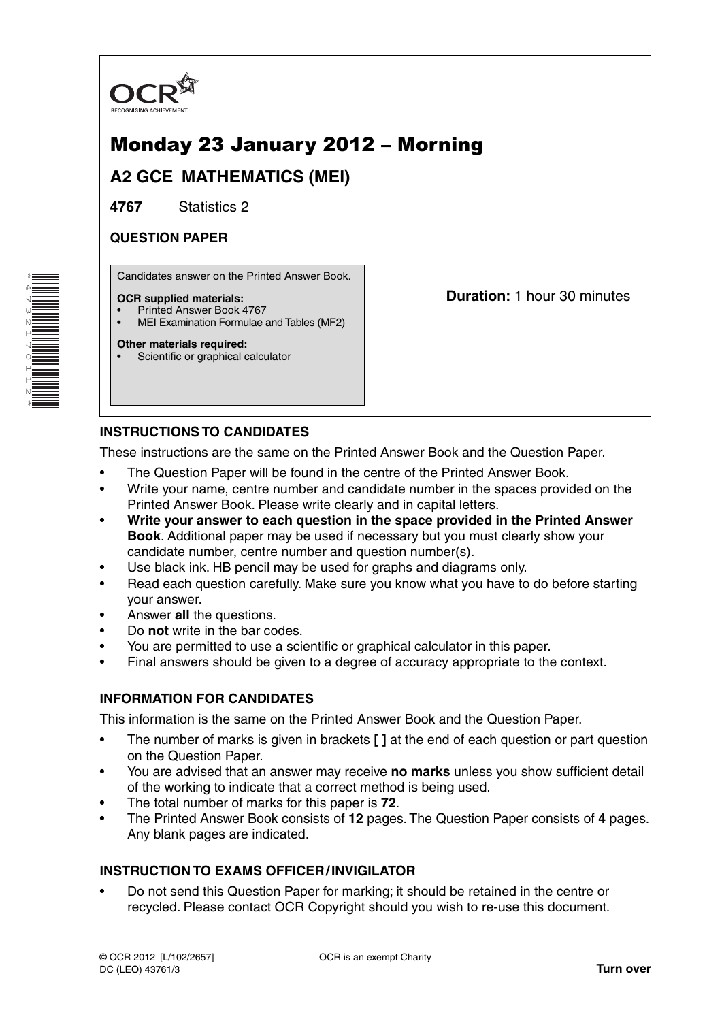

# Monday 23 January 2012 – Morning

**A2 GCE MATHEMATICS (MEI)**

**4767** Statistics 2

## **QUESTION PAPER**

Candidates answer on the Printed Answer Book.

#### **OCR supplied materials:**

- Printed Answer Book 4767
- MEI Examination Formulae and Tables (MF2)

#### **Other materials required:**

Scientific or graphical calculator

**Duration:** 1 hour 30 minutes

## **INSTRUCTIONS TO CANDIDATES**

These instructions are the same on the Printed Answer Book and the Question Paper.

- The Question Paper will be found in the centre of the Printed Answer Book.
- Write your name, centre number and candidate number in the spaces provided on the Printed Answer Book. Please write clearly and in capital letters.
- **Write your answer to each question in the space provided in the Printed Answer Book**. Additional paper may be used if necessary but you must clearly show your candidate number, centre number and question number(s).
- Use black ink. HB pencil may be used for graphs and diagrams only.
- Read each question carefully. Make sure you know what you have to do before starting your answer.
- Answer **all** the questions.
- Do **not** write in the bar codes.
- You are permitted to use a scientific or graphical calculator in this paper.
- Final answers should be given to a degree of accuracy appropriate to the context.

### **INFORMATION FOR CANDIDATES**

This information is the same on the Printed Answer Book and the Question Paper.

- The number of marks is given in brackets **[ ]** at the end of each question or part question on the Question Paper.
- You are advised that an answer may receive **no marks** unless you show sufficient detail of the working to indicate that a correct method is being used.
- The total number of marks for this paper is **72**.
- The Printed Answer Book consists of **12** pages. The Question Paper consists of **4** pages. Any blank pages are indicated.

### **INSTRUCTION TO EXAMS OFFICER / INVIGILATOR**

• Do not send this Question Paper for marking; it should be retained in the centre or recycled. Please contact OCR Copyright should you wish to re-use this document.

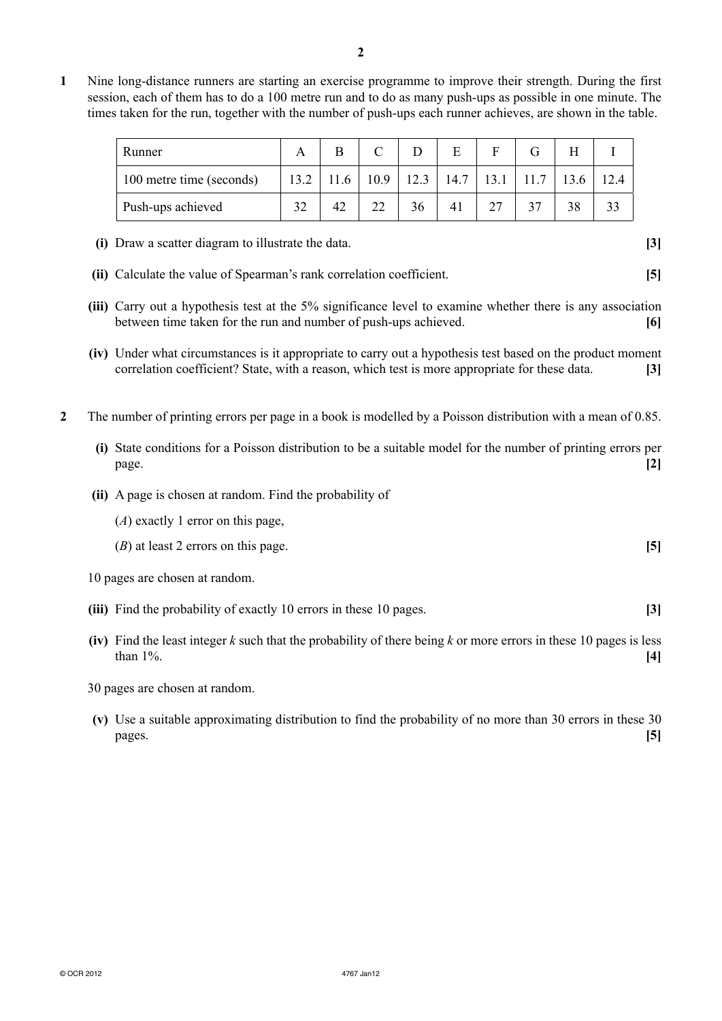- **2**
- **1** Nine long-distance runners are starting an exercise programme to improve their strength. During the first session, each of them has to do a 100 metre run and to do as many push-ups as possible in one minute. The times taken for the run, together with the number of push-ups each runner achieves, are shown in the table.

| Runner                   |    |      |    |    |  |                                    |      |  |
|--------------------------|----|------|----|----|--|------------------------------------|------|--|
| 100 metre time (seconds) |    | 11.6 |    |    |  | $10.9$   12.3   14.7   13.1   11.7 | 13.6 |  |
| Push-ups achieved        | 32 | 42   | 22 | 36 |  |                                    | 38   |  |

- **(i)** Draw a scatter diagram to illustrate the data. **[3]**
- **(ii)** Calculate the value of Spearman's rank correlation coefficient. **[5]**
- **(iii)** Carry out a hypothesis test at the 5% significance level to examine whether there is any association between time taken for the run and number of push-ups achieved. **[6]**
- **(iv)** Under what circumstances is it appropriate to carry out a hypothesis test based on the product moment correlation coefficient? State, with a reason, which test is more appropriate for these data. **[3]**
- **2** The number of printing errors per page in a book is modelled by a Poisson distribution with a mean of 0.85.
	- **(i)** State conditions for a Poisson distribution to be a suitable model for the number of printing errors per page. **[2]**
	- **(ii)** A page is chosen at random. Find the probability of
		- (*A*) exactly 1 error on this page,
		- (*B*) at least 2 errors on this page. **[5]**
	- 10 pages are chosen at random.
	- **(iii)** Find the probability of exactly 10 errors in these 10 pages. **[3]**
	- **(iv)** Find the least integer *k* such that the probability of there being *k* or more errors in these 10 pages is less than 1%. **[4]**
	- 30 pages are chosen at random.
	- **(v)** Use a suitable approximating distribution to find the probability of no more than 30 errors in these 30 pages. **[5]**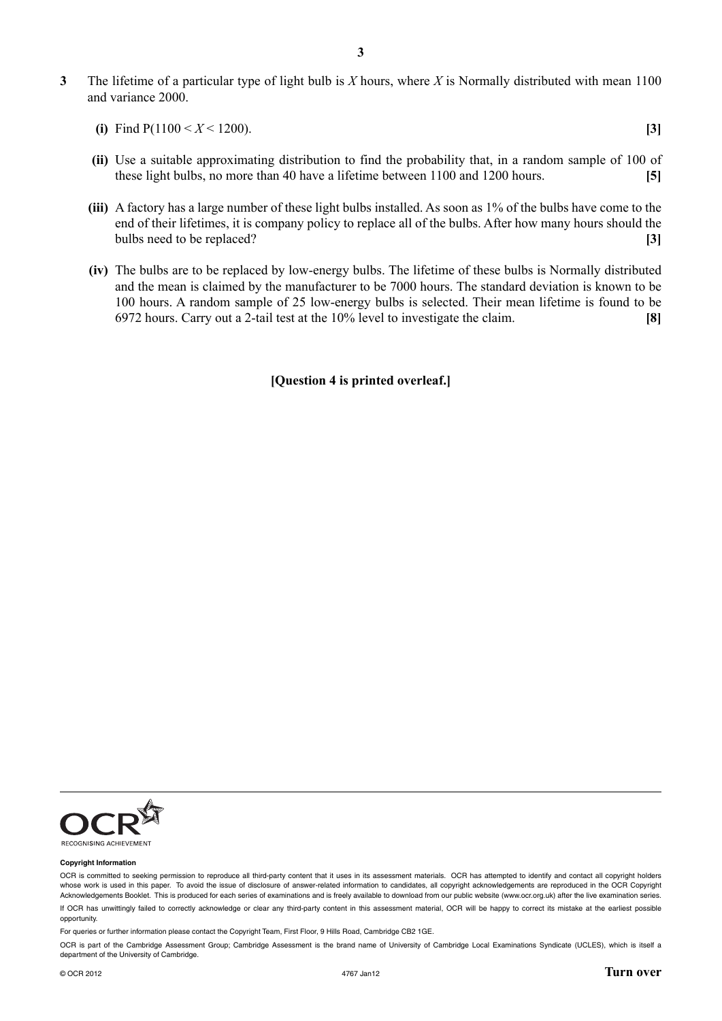**3** The lifetime of a particular type of light bulb is *X* hours, where *X* is Normally distributed with mean 1100 and variance 2000.

| (i) Find $P(1100 \le X \le 1200)$ . |  |
|-------------------------------------|--|
|                                     |  |
|                                     |  |
|                                     |  |

- **(ii)** Use a suitable approximating distribution to find the probability that, in a random sample of 100 of these light bulbs, no more than 40 have a lifetime between 1100 and 1200 hours. **[5]**
- **(iii)** A factory has a large number of these light bulbs installed. As soon as 1% of the bulbs have come to the end of their lifetimes, it is company policy to replace all of the bulbs. After how many hours should the bulbs need to be replaced? **[3]**
- **(iv)** The bulbs are to be replaced by low-energy bulbs. The lifetime of these bulbs is Normally distributed and the mean is claimed by the manufacturer to be 7000 hours. The standard deviation is known to be 100 hours. A random sample of 25 low-energy bulbs is selected. Their mean lifetime is found to be 6972 hours. Carry out a 2-tail test at the 10% level to investigate the claim. **[8]**

#### **[Question 4 is printed overleaf.]**



#### **Copyright Information**

OCR is committed to seeking permission to reproduce all third-party content that it uses in its assessment materials. OCR has attempted to identify and contact all copyright holders whose work is used in this paper. To avoid the issue of disclosure of answer-related information to candidates, all copyright acknowledgements are reproduced in the OCR Copyright Acknowledgements Booklet. This is produced for each series of examinations and is freely available to download from our public website (www.ocr.org.uk) after the live examination series. If OCR has unwittingly failed to correctly acknowledge or clear any third-party content in this assessment material, OCR will be happy to correct its mistake at the earliest possible opportunity.

For queries or further information please contact the Copyright Team, First Floor, 9 Hills Road, Cambridge CB2 1GE.

OCR is part of the Cambridge Assessment Group; Cambridge Assessment is the brand name of University of Cambridge Local Examinations Syndicate (UCLES), which is itself a department of the University of Cambridge.